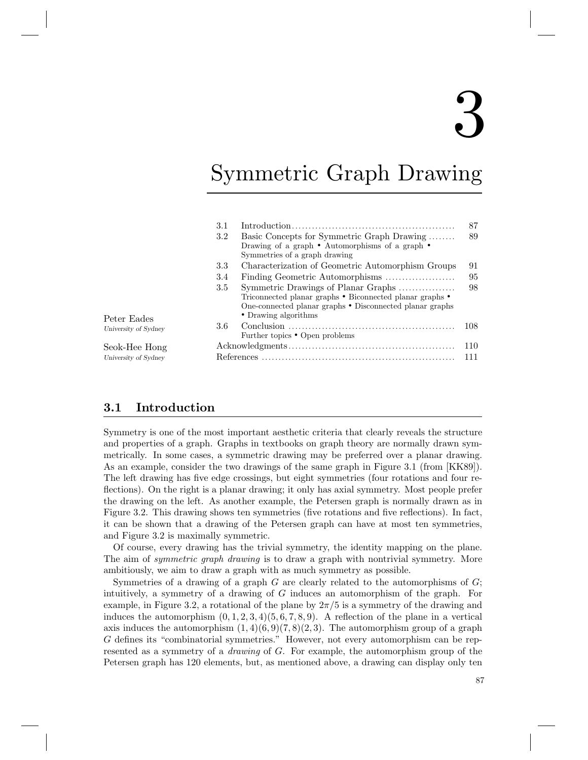# 3

## Symmetric Graph Drawing

| 3.1 |                                                                                                                                                                                     | 87  |
|-----|-------------------------------------------------------------------------------------------------------------------------------------------------------------------------------------|-----|
| 3.2 | Basic Concepts for Symmetric Graph Drawing<br>Drawing of a graph $\bullet$ Automorphisms of a graph $\bullet$<br>Symmetries of a graph drawing                                      | 89  |
| 3.3 | Characterization of Geometric Automorphism Groups                                                                                                                                   | 91  |
| 3.4 | Finding Geometric Automorphisms                                                                                                                                                     | 95  |
| 3.5 | Symmetric Drawings of Planar Graphs<br>Triconnected planar graphs • Biconnected planar graphs •<br>One-connected planar graphs • Disconnected planar graphs<br>• Drawing algorithms | 98  |
| 3.6 | Further topics • Open problems                                                                                                                                                      | 108 |
|     |                                                                                                                                                                                     | 110 |
|     |                                                                                                                                                                                     | 111 |

Peter Eades University of Sydney

Seok-Hee Hong University of Sydney

### 3.1 Introduction

Symmetry is one of the most important aesthetic criteria that clearly reveals the structure and properties of a graph. Graphs in textbooks on graph theory are normally drawn symmetrically. In some cases, a symmetric drawing may be preferred over a planar drawing. As an example, consider the two drawings of the same graph in Figure 3.1 (from [KK89]). The left drawing has five edge crossings, but eight symmetries (four rotations and four reflections). On the right is a planar drawing; it only has axial symmetry. Most people prefer the drawing on the left. As another example, the Petersen graph is normally drawn as in Figure 3.2. This drawing shows ten symmetries (five rotations and five reflections). In fact, it can be shown that a drawing of the Petersen graph can have at most ten symmetries, and Figure 3.2 is maximally symmetric.

Of course, every drawing has the trivial symmetry, the identity mapping on the plane. The aim of *symmetric graph drawing* is to draw a graph with nontrivial symmetry. More ambitiously, we aim to draw a graph with as much symmetry as possible.

Symmetries of a drawing of a graph  $G$  are clearly related to the automorphisms of  $G$ ; intuitively, a symmetry of a drawing of G induces an automorphism of the graph. For example, in Figure 3.2, a rotational of the plane by  $2\pi/5$  is a symmetry of the drawing and induces the automorphism  $(0, 1, 2, 3, 4)(5, 6, 7, 8, 9)$ . A reflection of the plane in a vertical axis induces the automorphism  $(1, 4)(6, 9)(7, 8)(2, 3)$ . The automorphism group of a graph G defines its "combinatorial symmetries." However, not every automorphism can be represented as a symmetry of a *drawing* of G. For example, the automorphism group of the Petersen graph has 120 elements, but, as mentioned above, a drawing can display only ten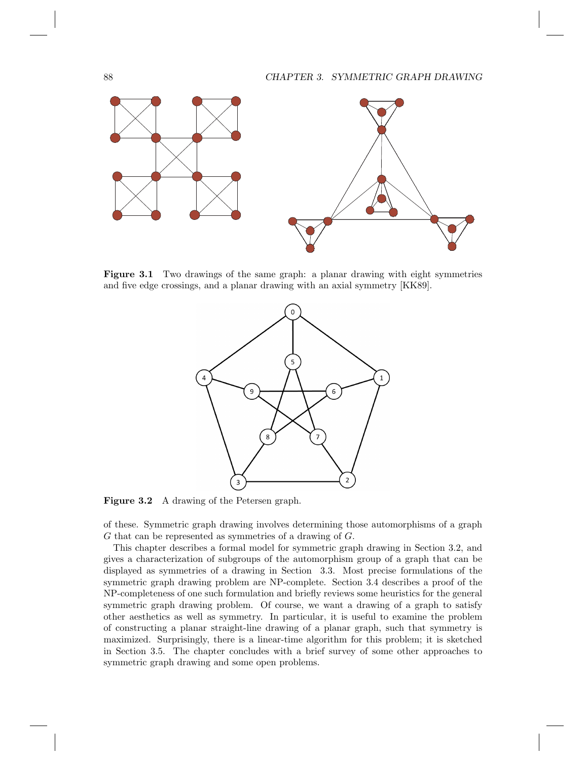#### 88 CHAPTER 3. SYMMETRIC GRAPH DRAWING



Figure 3.1 Two drawings of the same graph: a planar drawing with eight symmetries and five edge crossings, and a planar drawing with an axial symmetry [KK89].



Figure 3.2 A drawing of the Petersen graph.

of these. Symmetric graph drawing involves determining those automorphisms of a graph G that can be represented as symmetries of a drawing of G.

This chapter describes a formal model for symmetric graph drawing in Section 3.2, and gives a characterization of subgroups of the automorphism group of a graph that can be displayed as symmetries of a drawing in Section 3.3. Most precise formulations of the symmetric graph drawing problem are NP-complete. Section 3.4 describes a proof of the NP-completeness of one such formulation and briefly reviews some heuristics for the general symmetric graph drawing problem. Of course, we want a drawing of a graph to satisfy other aesthetics as well as symmetry. In particular, it is useful to examine the problem of constructing a planar straight-line drawing of a planar graph, such that symmetry is maximized. Surprisingly, there is a linear-time algorithm for this problem; it is sketched in Section 3.5. The chapter concludes with a brief survey of some other approaches to symmetric graph drawing and some open problems.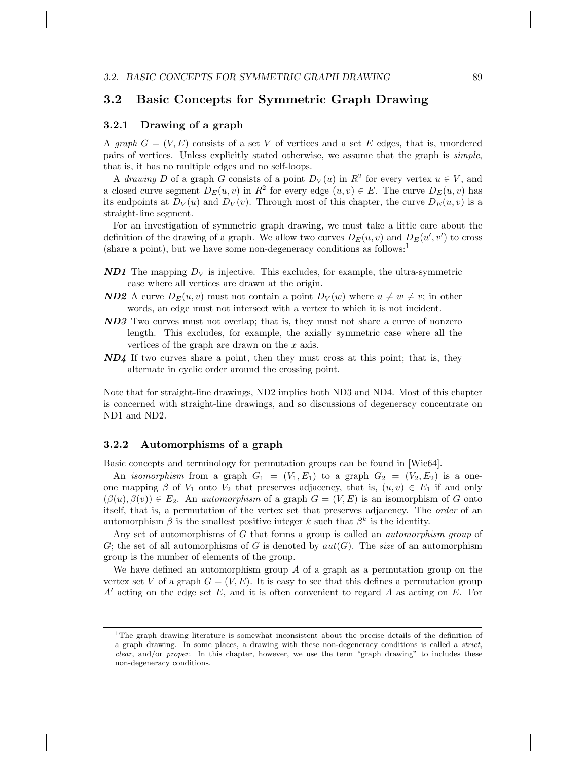#### 3.2 Basic Concepts for Symmetric Graph Drawing

#### 3.2.1 Drawing of a graph

A *graph*  $G = (V, E)$  consists of a set V of vertices and a set E edges, that is, unordered pairs of vertices. Unless explicitly stated otherwise, we assume that the graph is *simple*, that is, it has no multiple edges and no self-loops.

A *drawing* D of a graph G consists of a point  $D_V(u)$  in  $R^2$  for every vertex  $u \in V$ , and a closed curve segment  $D_E(u, v)$  in  $R^2$  for every edge  $(u, v) \in E$ . The curve  $D_E(u, v)$  has its endpoints at  $D_V(u)$  and  $D_V(v)$ . Through most of this chapter, the curve  $D_E(u, v)$  is a straight-line segment.

For an investigation of symmetric graph drawing, we must take a little care about the definition of the drawing of a graph. We allow two curves  $D_E(u, v)$  and  $D_E(u', v')$  to cross (share a point), but we have some non-degeneracy conditions as follows:<sup>1</sup>

- **ND1** The mapping  $D_V$  is injective. This excludes, for example, the ultra-symmetric case where all vertices are drawn at the origin.
- **ND2** A curve  $D_E(u, v)$  must not contain a point  $D_V(w)$  where  $u \neq w \neq v$ ; in other words, an edge must not intersect with a vertex to which it is not incident.
- ND3 Two curves must not overlap; that is, they must not share a curve of nonzero length. This excludes, for example, the axially symmetric case where all the vertices of the graph are drawn on the x axis.
- $ND4$  If two curves share a point, then they must cross at this point; that is, they alternate in cyclic order around the crossing point.

Note that for straight-line drawings, ND2 implies both ND3 and ND4. Most of this chapter is concerned with straight-line drawings, and so discussions of degeneracy concentrate on ND1 and ND2.

#### 3.2.2 Automorphisms of a graph

Basic concepts and terminology for permutation groups can be found in [Wie64].

An *isomorphism* from a graph  $G_1 = (V_1, E_1)$  to a graph  $G_2 = (V_2, E_2)$  is a oneone mapping  $\beta$  of  $V_1$  onto  $V_2$  that preserves adjacency, that is,  $(u, v) \in E_1$  if and only  $(\beta(u), \beta(v)) \in E_2$ . An *automorphism* of a graph  $G = (V, E)$  is an isomorphism of G onto itself, that is, a permutation of the vertex set that preserves adjacency. The *order* of an automorphism  $\beta$  is the smallest positive integer k such that  $\beta^k$  is the identity.

Any set of automorphisms of G that forms a group is called an *automorphism group* of G; the set of all automorphisms of G is denoted by  $aut(G)$ . The *size* of an automorphism group is the number of elements of the group.

We have defined an automorphism group  $A$  of a graph as a permutation group on the vertex set V of a graph  $G = (V, E)$ . It is easy to see that this defines a permutation group  $A'$  acting on the edge set E, and it is often convenient to regard A as acting on E. For

<sup>1</sup>The graph drawing literature is somewhat inconsistent about the precise details of the definition of a graph drawing. In some places, a drawing with these non-degeneracy conditions is called a *strict*, clear, and/or proper. In this chapter, however, we use the term "graph drawing" to includes these non-degeneracy conditions.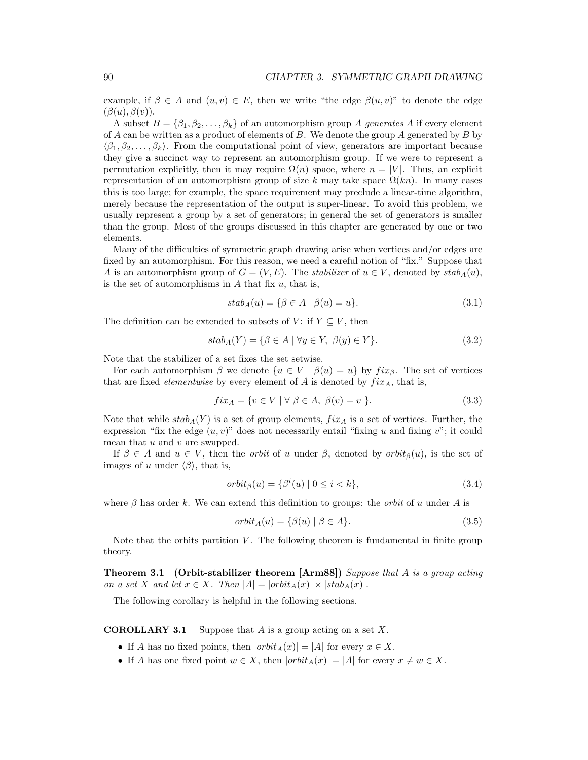example, if  $\beta \in A$  and  $(u, v) \in E$ , then we write "the edge  $\beta(u, v)$ " to denote the edge  $(\beta(u), \beta(v)).$ 

A subset  $B = \{\beta_1, \beta_2, \dots, \beta_k\}$  of an automorphism group A generates A if every element of A can be written as a product of elements of B. We denote the group A generated by B by  $\langle \beta_1, \beta_2, \ldots, \beta_k \rangle$ . From the computational point of view, generators are important because they give a succinct way to represent an automorphism group. If we were to represent a permutation explicitly, then it may require  $\Omega(n)$  space, where  $n = |V|$ . Thus, an explicit representation of an automorphism group of size k may take space  $\Omega(kn)$ . In many cases this is too large; for example, the space requirement may preclude a linear-time algorithm, merely because the representation of the output is super-linear. To avoid this problem, we usually represent a group by a set of generators; in general the set of generators is smaller than the group. Most of the groups discussed in this chapter are generated by one or two elements.

Many of the difficulties of symmetric graph drawing arise when vertices and/or edges are fixed by an automorphism. For this reason, we need a careful notion of "fix." Suppose that A is an automorphism group of  $G = (V, E)$ . The *stabilizer* of  $u \in V$ , denoted by  $stab_A(u)$ , is the set of automorphisms in  $A$  that fix  $u$ , that is,

$$
stab_A(u) = \{ \beta \in A \mid \beta(u) = u \}. \tag{3.1}
$$

The definition can be extended to subsets of V: if  $Y \subseteq V$ , then

$$
stab_A(Y) = \{ \beta \in A \mid \forall y \in Y, \ \beta(y) \in Y \}. \tag{3.2}
$$

Note that the stabilizer of a set fixes the set setwise.

For each automorphism  $\beta$  we denote  $\{u \in V \mid \beta(u) = u\}$  by  $fix_{\beta}$ . The set of vertices that are fixed *elementwise* by every element of A is denoted by  $fix_A$ , that is,

$$
fix_A = \{ v \in V \mid \forall \beta \in A, \ \beta(v) = v \ \}.
$$
\n
$$
(3.3)
$$

Note that while  $stab_A(Y)$  is a set of group elements,  $fix_A$  is a set of vertices. Further, the expression "fix the edge  $(u, v)$ " does not necessarily entail "fixing u and fixing v"; it could mean that  $u$  and  $v$  are swapped.

If  $\beta \in A$  and  $u \in V$ , then the *orbit* of u under  $\beta$ , denoted by  $orbit_{\beta}(u)$ , is the set of images of u under  $\langle \beta \rangle$ , that is,

$$
orbit_{\beta}(u) = {\beta^{i}(u) | 0 \le i < k},\tag{3.4}
$$

where  $\beta$  has order k. We can extend this definition to groups: the *orbit* of u under A is

$$
orbit_A(u) = \{ \beta(u) \mid \beta \in A \}. \tag{3.5}
$$

Note that the orbits partition  $V$ . The following theorem is fundamental in finite group theory.

Theorem 3.1 (Orbit-stabilizer theorem [Arm88]) *Suppose that* A *is a group acting on a set* X *and let*  $x \in X$ *. Then*  $|A| = |orbit_A(x)| \times |stab_A(x)|$ *.* 

The following corollary is helpful in the following sections.

**COROLLARY 3.1** Suppose that A is a group acting on a set X.

- If A has no fixed points, then  $|orbit_A(x)| = |A|$  for every  $x \in X$ .
- If A has one fixed point  $w \in X$ , then  $|orbit_A(x)| = |A|$  for every  $x \neq w \in X$ .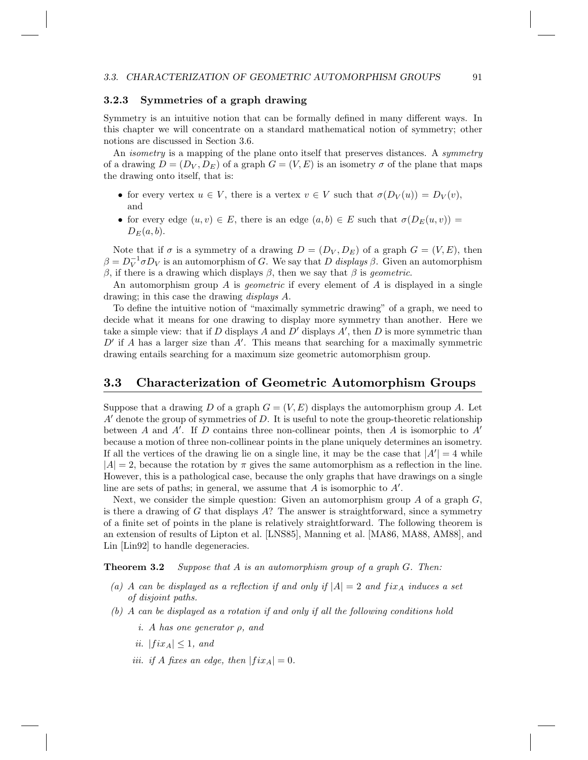#### 3.2.3 Symmetries of a graph drawing

Symmetry is an intuitive notion that can be formally defined in many different ways. In this chapter we will concentrate on a standard mathematical notion of symmetry; other notions are discussed in Section 3.6.

An *isometry* is a mapping of the plane onto itself that preserves distances. A *symmetry* of a drawing  $D = (D_V, D_E)$  of a graph  $G = (V, E)$  is an isometry  $\sigma$  of the plane that maps the drawing onto itself, that is:

- for every vertex  $u \in V$ , there is a vertex  $v \in V$  such that  $\sigma(D_V(u)) = D_V(v)$ , and
- for every edge  $(u, v) \in E$ , there is an edge  $(a, b) \in E$  such that  $\sigma(D_E(u, v)) =$  $D_E(a, b)$ .

Note that if  $\sigma$  is a symmetry of a drawing  $D = (D_V, D_E)$  of a graph  $G = (V, E)$ , then  $\beta = D_V^{-1} \sigma D_V$  is an automorphism of G. We say that D *displays*  $\beta$ . Given an automorphism β, if there is a drawing which displays β, then we say that β is *geometric*.

An automorphism group A is *geometric* if every element of A is displayed in a single drawing; in this case the drawing *displays* A.

To define the intuitive notion of "maximally symmetric drawing" of a graph, we need to decide what it means for one drawing to display more symmetry than another. Here we take a simple view: that if D displays A and D' displays  $A'$ , then D is more symmetric than  $D'$  if A has a larger size than  $A'$ . This means that searching for a maximally symmetric drawing entails searching for a maximum size geometric automorphism group.

#### 3.3 Characterization of Geometric Automorphism Groups

Suppose that a drawing D of a graph  $G = (V, E)$  displays the automorphism group A. Let  $A'$  denote the group of symmetries of D. It is useful to note the group-theoretic relationship between A and A'. If D contains three non-collinear points, then A is isomorphic to  $A'$ because a motion of three non-collinear points in the plane uniquely determines an isometry. If all the vertices of the drawing lie on a single line, it may be the case that  $|A'| = 4$  while  $|A| = 2$ , because the rotation by  $\pi$  gives the same automorphism as a reflection in the line. However, this is a pathological case, because the only graphs that have drawings on a single line are sets of paths; in general, we assume that  $A$  is isomorphic to  $A'$ .

Next, we consider the simple question: Given an automorphism group  $A$  of a graph  $G$ , is there a drawing of  $G$  that displays  $A$ ? The answer is straightforward, since a symmetry of a finite set of points in the plane is relatively straightforward. The following theorem is an extension of results of Lipton et al. [LNS85], Manning et al. [MA86, MA88, AM88], and Lin [Lin92] to handle degeneracies.

Theorem 3.2 *Suppose that* A *is an automorphism group of a graph* G*. Then:*

- (a) A can be displayed as a reflection if and only if  $|A| = 2$  and  $fix_A$  induces a set *of disjoint paths.*
- *(b)* A *can be displayed as a rotation if and only if all the following conditions hold*
	- *i.* A *has one generator* ρ*, and*
	- *ii.*  $|fix_A| \leq 1$ *, and*
	- *iii. if A fixes* an edge, then  $|fix_A| = 0$ .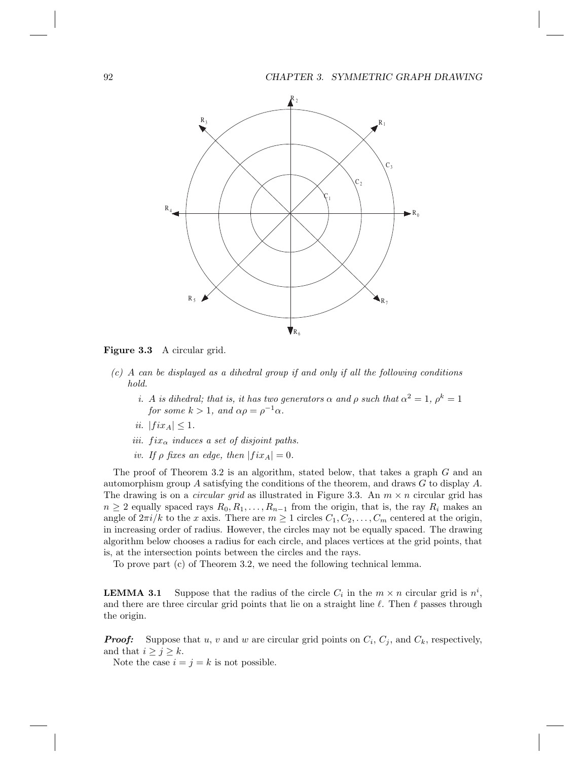

Figure 3.3 A circular grid.

- *(c)* A *can be displayed as a dihedral group if and only if all the following conditions hold.*
	- *i.* A *is dihedral; that is, it has two generators*  $\alpha$  *and*  $\rho$  *such that*  $\alpha^2 = 1$ ,  $\rho^k = 1$ *for some*  $k > 1$ *, and*  $\alpha \rho = \rho^{-1} \alpha$ *.*
	- *ii.*  $|fix_A| \leq 1$ .
	- *iii.*  $fix_{\alpha}$  *induces a set of disjoint paths.*
	- *iv.* If  $\rho$  *fixes an edge, then*  $|fix_A| = 0$ *.*

The proof of Theorem 3.2 is an algorithm, stated below, that takes a graph G and an automorphism group A satisfying the conditions of the theorem, and draws  $G$  to display  $A$ . The drawing is on a *circular grid* as illustrated in Figure 3.3. An  $m \times n$  circular grid has  $n \geq 2$  equally spaced rays  $R_0, R_1, \ldots, R_{n-1}$  from the origin, that is, the ray  $R_i$  makes an angle of  $2\pi i/k$  to the x axis. There are  $m \geq 1$  circles  $C_1, C_2, \ldots, C_m$  centered at the origin, in increasing order of radius. However, the circles may not be equally spaced. The drawing algorithm below chooses a radius for each circle, and places vertices at the grid points, that is, at the intersection points between the circles and the rays.

To prove part (c) of Theorem 3.2, we need the following technical lemma.

**LEMMA 3.1** Suppose that the radius of the circle  $C_i$  in the  $m \times n$  circular grid is  $n^i$ , and there are three circular grid points that lie on a straight line  $\ell$ . Then  $\ell$  passes through the origin.

**Proof:** Suppose that u, v and w are circular grid points on  $C_i$ ,  $C_j$ , and  $C_k$ , respectively, and that  $i \geq j \geq k$ .

Note the case  $i = j = k$  is not possible.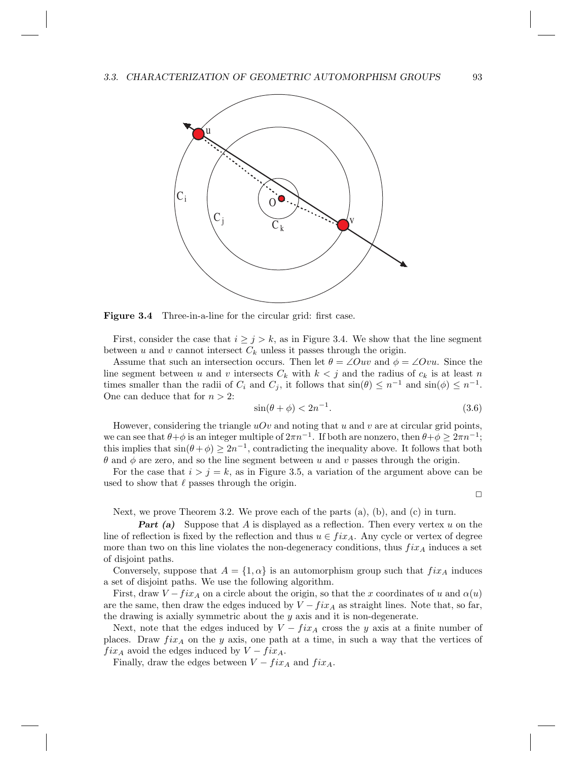

Figure 3.4 Three-in-a-line for the circular grid: first case.

First, consider the case that  $i \geq j > k$ , as in Figure 3.4. We show that the line segment between u and v cannot intersect  $C_k$  unless it passes through the origin.

Assume that such an intersection occurs. Then let  $\theta = \angle Ouv$  and  $\phi = \angle Ovu$ . Since the line segment between u and v intersects  $C_k$  with  $k < j$  and the radius of  $c_k$  is at least n times smaller than the radii of  $C_i$  and  $C_j$ , it follows that  $\sin(\theta) \leq n^{-1}$  and  $\sin(\phi) \leq n^{-1}$ . One can deduce that for  $n > 2$ :

$$
\sin(\theta + \phi) < 2n^{-1}.\tag{3.6}
$$

However, considering the triangle  $uOv$  and noting that u and v are at circular grid points, we can see that  $\theta + \phi$  is an integer multiple of  $2\pi n^{-1}$ . If both are nonzero, then  $\theta + \phi \geq 2\pi n^{-1}$ ; this implies that  $sin(\theta + \phi) \geq 2n^{-1}$ , contradicting the inequality above. It follows that both θ and φ are zero, and so the line segment between u and v passes through the origin.

For the case that  $i > j = k$ , as in Figure 3.5, a variation of the argument above can be used to show that  $\ell$  passes through the origin.

 $\Box$ 

Next, we prove Theorem 3.2. We prove each of the parts (a), (b), and (c) in turn.

**Part** (a) Suppose that A is displayed as a reflection. Then every vertex u on the line of reflection is fixed by the reflection and thus  $u \in fix_A$ . Any cycle or vertex of degree more than two on this line violates the non-degeneracy conditions, thus  $fix_A$  induces a set of disjoint paths.

Conversely, suppose that  $A = \{1, \alpha\}$  is an automorphism group such that  $fix_A$  induces a set of disjoint paths. We use the following algorithm.

First, draw  $V - fix_A$  on a circle about the origin, so that the x coordinates of u and  $\alpha(u)$ are the same, then draw the edges induced by  $V - fix_A$  as straight lines. Note that, so far, the drawing is axially symmetric about the  $y$  axis and it is non-degenerate.

Next, note that the edges induced by  $V - fix_A$  cross the y axis at a finite number of places. Draw  $fix_A$  on the y axis, one path at a time, in such a way that the vertices of  $fix_A$  avoid the edges induced by  $V - fix_A$ .

Finally, draw the edges between  $V - fix_A$  and  $fix_A$ .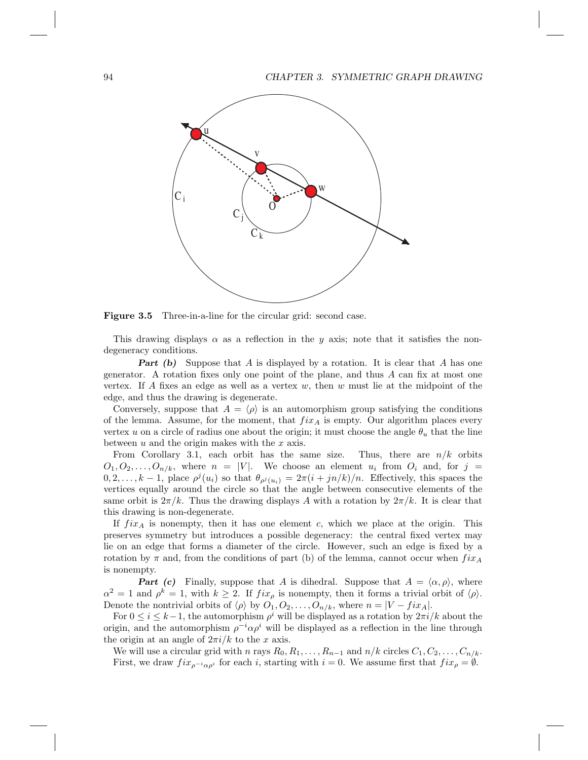

Figure 3.5 Three-in-a-line for the circular grid: second case.

This drawing displays  $\alpha$  as a reflection in the y axis; note that it satisfies the nondegeneracy conditions.

**Part (b)** Suppose that A is displayed by a rotation. It is clear that A has one generator. A rotation fixes only one point of the plane, and thus  $A$  can fix at most one vertex. If A fixes an edge as well as a vertex  $w$ , then  $w$  must lie at the midpoint of the edge, and thus the drawing is degenerate.

Conversely, suppose that  $A = \langle \rho \rangle$  is an automorphism group satisfying the conditions of the lemma. Assume, for the moment, that  $fix_A$  is empty. Our algorithm places every vertex u on a circle of radius one about the origin; it must choose the angle  $\theta_u$  that the line between  $u$  and the origin makes with the  $x$  axis.

From Corollary 3.1, each orbit has the same size. Thus, there are  $n/k$  orbits  $O_1, O_2, \ldots, O_{n/k}$ , where  $n = |V|$ . We choose an element  $u_i$  from  $O_i$  and, for  $j =$  $(0, 2, \ldots, k-1)$ , place  $\rho^{j}(u_i)$  so that  $\theta_{\rho^{j}(u_i)} = 2\pi(i + jn/k)/n$ . Effectively, this spaces the vertices equally around the circle so that the angle between consecutive elements of the same orbit is  $2\pi/k$ . Thus the drawing displays A with a rotation by  $2\pi/k$ . It is clear that this drawing is non-degenerate.

If  $fix_A$  is nonempty, then it has one element c, which we place at the origin. This preserves symmetry but introduces a possible degeneracy: the central fixed vertex may lie on an edge that forms a diameter of the circle. However, such an edge is fixed by a rotation by  $\pi$  and, from the conditions of part (b) of the lemma, cannot occur when  $fix_A$ is nonempty.

**Part (c)** Finally, suppose that A is dihedral. Suppose that  $A = \langle \alpha, \rho \rangle$ , where  $\alpha^2 = 1$  and  $\rho^k = 1$ , with  $k \geq 2$ . If  $fix_{\rho}$  is nonempty, then it forms a trivial orbit of  $\langle \rho \rangle$ . Denote the nontrivial orbits of  $\langle \rho \rangle$  by  $O_1, O_2, \ldots, O_{n/k}$ , where  $n = |V - fix_A|$ .

For  $0 \le i \le k-1$ , the automorphism  $\rho^i$  will be displayed as a rotation by  $2\pi i/k$  about the origin, and the automorphism  $\rho^{-i} \alpha \rho^i$  will be displayed as a reflection in the line through the origin at an angle of  $2\pi i/k$  to the x axis.

We will use a circular grid with n rays  $R_0, R_1, \ldots, R_{n-1}$  and  $n/k$  circles  $C_1, C_2, \ldots, C_{n/k}$ . First, we draw  $fix_{\rho^{-i}\alpha\rho^{i}}$  for each i, starting with  $i = 0$ . We assume first that  $fix_{\rho} = \emptyset$ .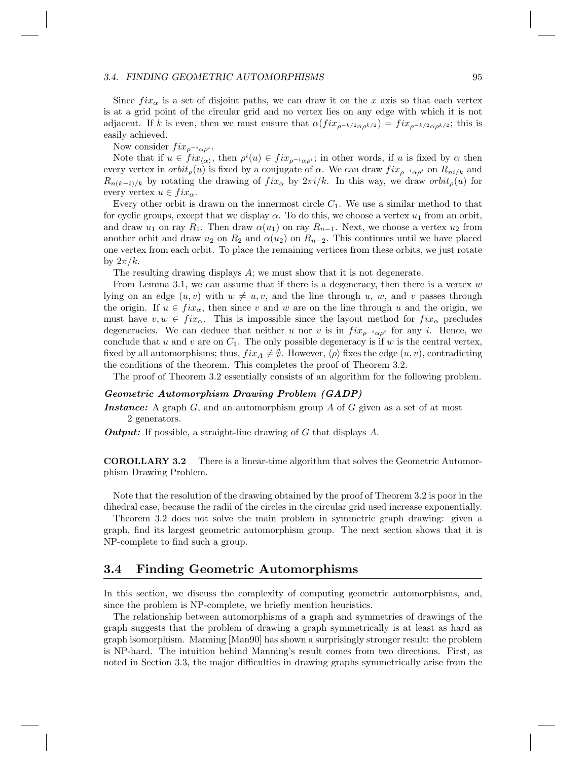#### 3.4. FINDING GEOMETRIC AUTOMORPHISMS 95

Since  $fix_{\alpha}$  is a set of disjoint paths, we can draw it on the x axis so that each vertex is at a grid point of the circular grid and no vertex lies on any edge with which it is not adjacent. If k is even, then we must ensure that  $\alpha(fix_{\rho^{-k/2}\alpha\rho^{k/2}}) = fix_{\rho^{-k/2}\alpha\rho^{k/2}}$ ; this is easily achieved.

Now consider  $fix_{\rho^{-i}\alpha\rho^{i}}$ .

Note that if  $u \in fix_{\langle \alpha \rangle}$ , then  $\rho^{i}(u) \in fix_{\rho^{-i}\alpha\rho^{i}}$ ; in other words, if u is fixed by  $\alpha$  then every vertex in  $orbit_\rho(u)$  is fixed by a conjugate of  $\alpha$ . We can draw  $fix_{\rho^{-i}\alpha\rho^{i}}$  on  $R_{ni/k}$  and  $R_{n(k-i)/k}$  by rotating the drawing of  $fix_{\alpha}$  by  $2\pi i/k$ . In this way, we draw  $orbit_{\rho}(u)$  for every vertex  $u \in fix_{\alpha}$ .

Every other orbit is drawn on the innermost circle  $C_1$ . We use a similar method to that for cyclic groups, except that we display  $\alpha$ . To do this, we choose a vertex  $u_1$  from an orbit, and draw  $u_1$  on ray  $R_1$ . Then draw  $\alpha(u_1)$  on ray  $R_{n-1}$ . Next, we choose a vertex  $u_2$  from another orbit and draw  $u_2$  on  $R_2$  and  $\alpha(u_2)$  on  $R_{n-2}$ . This continues until we have placed one vertex from each orbit. To place the remaining vertices from these orbits, we just rotate by  $2\pi/k$ .

The resulting drawing displays A; we must show that it is not degenerate.

From Lemma 3.1, we can assume that if there is a degeneracy, then there is a vertex  $w$ lying on an edge  $(u, v)$  with  $w \neq u, v$ , and the line through u, w, and v passes through the origin. If  $u \in fix_{\alpha}$ , then since v and w are on the line through u and the origin, we must have  $v, w \in fix_{\alpha}$ . This is impossible since the layout method for  $fix_{\alpha}$  precludes degeneracies. We can deduce that neither u nor v is in  $fix_{\rho^{-i}\alpha\rho^{i}}$  for any i. Hence, we conclude that  $u$  and  $v$  are on  $C_1$ . The only possible degeneracy is if  $w$  is the central vertex, fixed by all automorphisms; thus,  $fix_A \neq \emptyset$ . However,  $\langle \rho \rangle$  fixes the edge  $(u, v)$ , contradicting the conditions of the theorem. This completes the proof of Theorem 3.2.

The proof of Theorem 3.2 essentially consists of an algorithm for the following problem.

#### Geometric Automorphism Drawing Problem (GADP)

**Instance:** A graph  $G$ , and an automorphism group  $A$  of  $G$  given as a set of at most 2 generators.

**Output:** If possible, a straight-line drawing of G that displays  $A$ .

COROLLARY 3.2 There is a linear-time algorithm that solves the Geometric Automorphism Drawing Problem.

Note that the resolution of the drawing obtained by the proof of Theorem 3.2 is poor in the dihedral case, because the radii of the circles in the circular grid used increase exponentially.

Theorem 3.2 does not solve the main problem in symmetric graph drawing: given a graph, find its largest geometric automorphism group. The next section shows that it is NP-complete to find such a group.

#### 3.4 Finding Geometric Automorphisms

In this section, we discuss the complexity of computing geometric automorphisms, and, since the problem is NP-complete, we briefly mention heuristics.

The relationship between automorphisms of a graph and symmetries of drawings of the graph suggests that the problem of drawing a graph symmetrically is at least as hard as graph isomorphism. Manning [Man90] has shown a surprisingly stronger result: the problem is NP-hard. The intuition behind Manning's result comes from two directions. First, as noted in Section 3.3, the major difficulties in drawing graphs symmetrically arise from the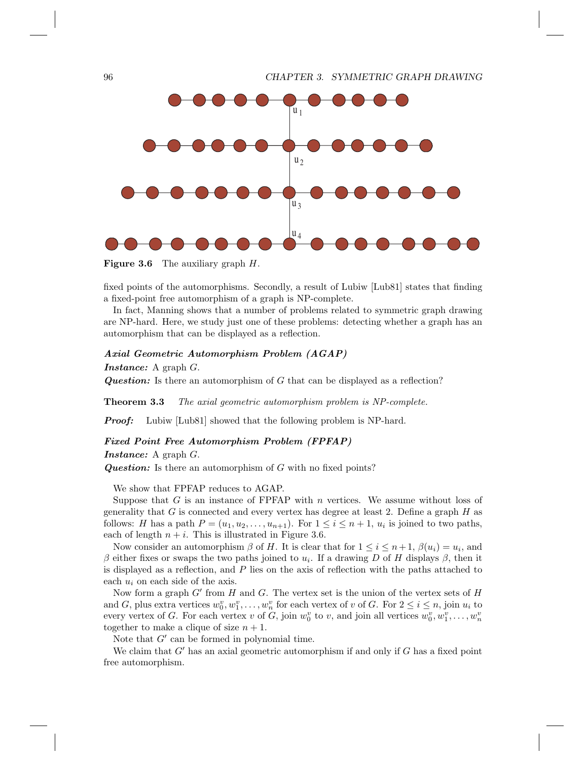

**Figure 3.6** The auxiliary graph  $H$ .

fixed points of the automorphisms. Secondly, a result of Lubiw [Lub81] states that finding a fixed-point free automorphism of a graph is NP-complete.

In fact, Manning shows that a number of problems related to symmetric graph drawing are NP-hard. Here, we study just one of these problems: detecting whether a graph has an automorphism that can be displayed as a reflection.

#### Axial Geometric Automorphism Problem (AGAP)

Instance: A graph G.

**Question:** Is there an automorphism of G that can be displayed as a reflection?

Theorem 3.3 *The axial geometric automorphism problem is NP-complete.*

**Proof:** Lubiw [Lub81] showed that the following problem is NP-hard.

#### Fixed Point Free Automorphism Problem (FPFAP)

Instance: A graph G.

**Question:** Is there an automorphism of G with no fixed points?

We show that FPFAP reduces to AGAP.

Suppose that  $G$  is an instance of FPFAP with  $n$  vertices. We assume without loss of generality that  $G$  is connected and every vertex has degree at least 2. Define a graph  $H$  as follows: H has a path  $P = (u_1, u_2, \dots, u_{n+1})$ . For  $1 \leq i \leq n+1$ ,  $u_i$  is joined to two paths, each of length  $n + i$ . This is illustrated in Figure 3.6.

Now consider an automorphism  $\beta$  of H. It is clear that for  $1 \leq i \leq n+1$ ,  $\beta(u_i) = u_i$ , and β either fixes or swaps the two paths joined to  $u_i$ . If a drawing D of H displays β, then it is displayed as a reflection, and  $P$  lies on the axis of reflection with the paths attached to each  $u_i$  on each side of the axis.

Now form a graph  $G'$  from  $H$  and  $G$ . The vertex set is the union of the vertex sets of  $H$ and G, plus extra vertices  $w_0^v, w_1^v, \ldots, w_n^v$  for each vertex of v of G. For  $2 \le i \le n$ , join  $u_i$  to every vertex of G. For each vertex v of G, join  $w_0^v$  to v, and join all vertices  $w_0^v, w_1^v, \ldots, w_n^v$ together to make a clique of size  $n + 1$ .

Note that  $G'$  can be formed in polynomial time.

We claim that  $G'$  has an axial geometric automorphism if and only if  $G$  has a fixed point free automorphism.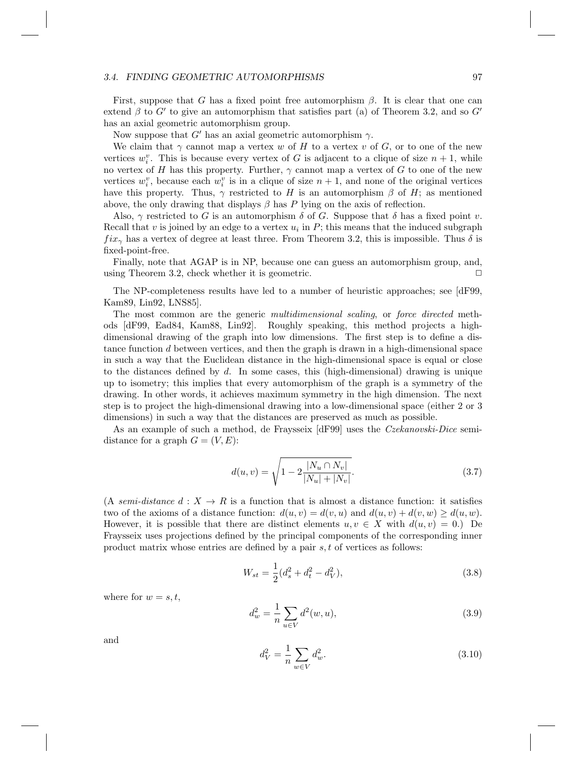#### 3.4. FINDING GEOMETRIC AUTOMORPHISMS 97

First, suppose that G has a fixed point free automorphism  $\beta$ . It is clear that one can extend  $\beta$  to  $G'$  to give an automorphism that satisfies part (a) of Theorem 3.2, and so  $G'$ has an axial geometric automorphism group.

Now suppose that  $G'$  has an axial geometric automorphism  $\gamma$ .

We claim that  $\gamma$  cannot map a vertex w of H to a vertex v of G, or to one of the new vertices  $w_i^v$ . This is because every vertex of G is adjacent to a clique of size  $n+1$ , while no vertex of H has this property. Further,  $\gamma$  cannot map a vertex of G to one of the new vertices  $w_i^v$ , because each  $w_i^v$  is in a clique of size  $n + 1$ , and none of the original vertices have this property. Thus,  $\gamma$  restricted to H is an automorphism  $\beta$  of H; as mentioned above, the only drawing that displays  $\beta$  has P lying on the axis of reflection.

Also,  $\gamma$  restricted to G is an automorphism  $\delta$  of G. Suppose that  $\delta$  has a fixed point v. Recall that v is joined by an edge to a vertex  $u_i$  in  $P$ ; this means that the induced subgraph  $fix_{\gamma}$  has a vertex of degree at least three. From Theorem 3.2, this is impossible. Thus  $\delta$  is fixed-point-free.

Finally, note that AGAP is in NP, because one can guess an automorphism group, and, using Theorem 3.2, check whether it is geometric.  $\Box$ 

The NP-completeness results have led to a number of heuristic approaches; see [dF99, Kam89, Lin92, LNS85].

The most common are the generic *multidimensional scaling*, or *force directed* methods [dF99, Ead84, Kam88, Lin92]. Roughly speaking, this method projects a highdimensional drawing of the graph into low dimensions. The first step is to define a distance function d between vertices, and then the graph is drawn in a high-dimensional space in such a way that the Euclidean distance in the high-dimensional space is equal or close to the distances defined by d. In some cases, this (high-dimensional) drawing is unique up to isometry; this implies that every automorphism of the graph is a symmetry of the drawing. In other words, it achieves maximum symmetry in the high dimension. The next step is to project the high-dimensional drawing into a low-dimensional space (either 2 or 3 dimensions) in such a way that the distances are preserved as much as possible.

As an example of such a method, de Fraysseix [dF99] uses the *Czekanovski-Dice* semidistance for a graph  $G = (V, E)$ :

$$
d(u, v) = \sqrt{1 - 2\frac{|N_u \cap N_v|}{|N_u| + |N_v|}}.
$$
\n(3.7)

(A *semi-distance*  $d: X \to R$  is a function that is almost a distance function: it satisfies two of the axioms of a distance function:  $d(u, v) = d(v, u)$  and  $d(u, v) + d(v, w) \geq d(u, w)$ . However, it is possible that there are distinct elements  $u, v \in X$  with  $d(u, v) = 0$ . De Fraysseix uses projections defined by the principal components of the corresponding inner product matrix whose entries are defined by a pair s, t of vertices as follows:

$$
W_{st} = \frac{1}{2}(d_s^2 + d_t^2 - d_V^2),
$$
\n(3.8)

where for  $w = s, t$ ,

$$
d_w^2 = \frac{1}{n} \sum_{u \in V} d^2(w, u), \tag{3.9}
$$

and

$$
d_V^2 = \frac{1}{n} \sum_{w \in V} d_w^2.
$$
\n(3.10)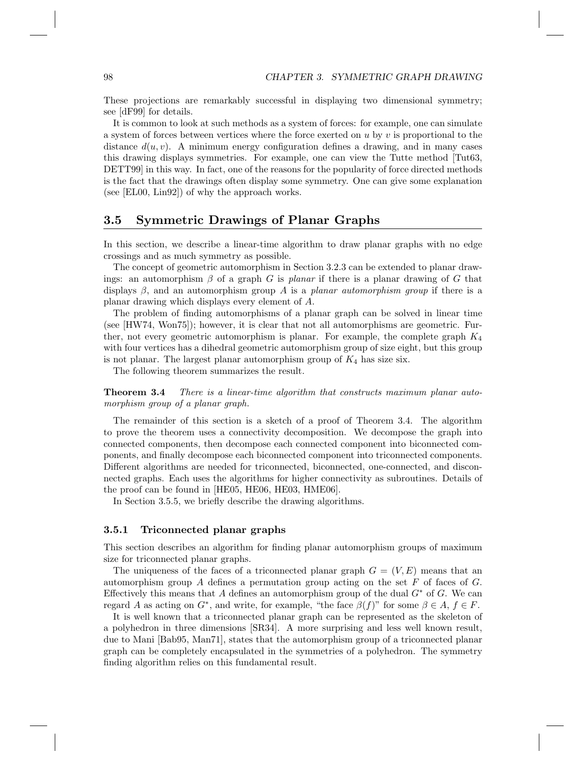These projections are remarkably successful in displaying two dimensional symmetry; see [dF99] for details.

It is common to look at such methods as a system of forces: for example, one can simulate a system of forces between vertices where the force exerted on  $u$  by  $v$  is proportional to the distance  $d(u, v)$ . A minimum energy configuration defines a drawing, and in many cases this drawing displays symmetries. For example, one can view the Tutte method [Tut63, DETT99] in this way. In fact, one of the reasons for the popularity of force directed methods is the fact that the drawings often display some symmetry. One can give some explanation (see [EL00, Lin92]) of why the approach works.

#### 3.5 Symmetric Drawings of Planar Graphs

In this section, we describe a linear-time algorithm to draw planar graphs with no edge crossings and as much symmetry as possible.

The concept of geometric automorphism in Section 3.2.3 can be extended to planar drawings: an automorphism  $\beta$  of a graph G is *planar* if there is a planar drawing of G that displays  $\beta$ , and an automorphism group A is a *planar automorphism group* if there is a planar drawing which displays every element of A.

The problem of finding automorphisms of a planar graph can be solved in linear time (see [HW74, Won75]); however, it is clear that not all automorphisms are geometric. Further, not every geometric automorphism is planar. For example, the complete graph  $K_4$ with four vertices has a dihedral geometric automorphism group of size eight, but this group is not planar. The largest planar automorphism group of  $K_4$  has size six.

The following theorem summarizes the result.

Theorem 3.4 *There is a linear-time algorithm that constructs maximum planar automorphism group of a planar graph.*

The remainder of this section is a sketch of a proof of Theorem 3.4. The algorithm to prove the theorem uses a connectivity decomposition. We decompose the graph into connected components, then decompose each connected component into biconnected components, and finally decompose each biconnected component into triconnected components. Different algorithms are needed for triconnected, biconnected, one-connected, and disconnected graphs. Each uses the algorithms for higher connectivity as subroutines. Details of the proof can be found in [HE05, HE06, HE03, HME06].

In Section 3.5.5, we briefly describe the drawing algorithms.

#### 3.5.1 Triconnected planar graphs

This section describes an algorithm for finding planar automorphism groups of maximum size for triconnected planar graphs.

The uniqueness of the faces of a triconnected planar graph  $G = (V, E)$  means that an automorphism group A defines a permutation group acting on the set F of faces of G. Effectively this means that A defines an automorphism group of the dual  $G^*$  of G. We can regard A as acting on  $G^*$ , and write, for example, "the face  $\beta(f)$ " for some  $\beta \in A$ ,  $f \in F$ .

It is well known that a triconnected planar graph can be represented as the skeleton of a polyhedron in three dimensions [SR34]. A more surprising and less well known result, due to Mani [Bab95, Man71], states that the automorphism group of a triconnected planar graph can be completely encapsulated in the symmetries of a polyhedron. The symmetry finding algorithm relies on this fundamental result.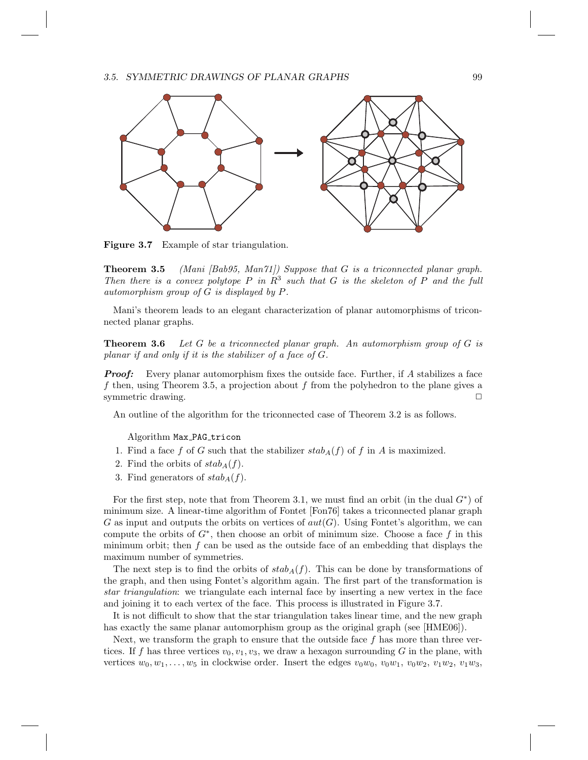#### 3.5. SYMMETRIC DRAWINGS OF PLANAR GRAPHS 99



Figure 3.7 Example of star triangulation.

Theorem 3.5 *(Mani [Bab95, Man71]) Suppose that* G *is a triconnected planar graph.* Then there is a convex polytope  $P$  in  $R^3$  such that  $G$  is the skeleton of  $P$  and the full *automorphism group of* G *is displayed by* P*.*

Mani's theorem leads to an elegant characterization of planar automorphisms of triconnected planar graphs.

Theorem 3.6 *Let* G *be a triconnected planar graph. An automorphism group of* G *is planar if and only if it is the stabilizer of a face of* G*.*

**Proof:** Every planar automorphism fixes the outside face. Further, if  $A$  stabilizes a face f then, using Theorem 3.5, a projection about f from the polyhedron to the plane gives a symmetric drawing.  $\Box$ 

An outline of the algorithm for the triconnected case of Theorem 3.2 is as follows.

Algorithm Max\_PAG\_tricon

- 1. Find a face f of G such that the stabilizer  $stab_A(f)$  of f in A is maximized.
- 2. Find the orbits of  $stab_A(f)$ .
- 3. Find generators of  $stab_A(f)$ .

For the first step, note that from Theorem 3.1, we must find an orbit (in the dual  $G^*$ ) of minimum size. A linear-time algorithm of Fontet [Fon76] takes a triconnected planar graph G as input and outputs the orbits on vertices of  $aut(G)$ . Using Fontet's algorithm, we can compute the orbits of  $G^*$ , then choose an orbit of minimum size. Choose a face f in this minimum orbit; then  $f$  can be used as the outside face of an embedding that displays the maximum number of symmetries.

The next step is to find the orbits of  $stab_A(f)$ . This can be done by transformations of the graph, and then using Fontet's algorithm again. The first part of the transformation is *star triangulation*: we triangulate each internal face by inserting a new vertex in the face and joining it to each vertex of the face. This process is illustrated in Figure 3.7.

It is not difficult to show that the star triangulation takes linear time, and the new graph has exactly the same planar automorphism group as the original graph (see [HME06]).

Next, we transform the graph to ensure that the outside face  $f$  has more than three vertices. If f has three vertices  $v_0, v_1, v_3$ , we draw a hexagon surrounding G in the plane, with vertices  $w_0, w_1, \ldots, w_5$  in clockwise order. Insert the edges  $v_0w_0, v_0w_1, v_0w_2, v_1w_2, v_1w_3$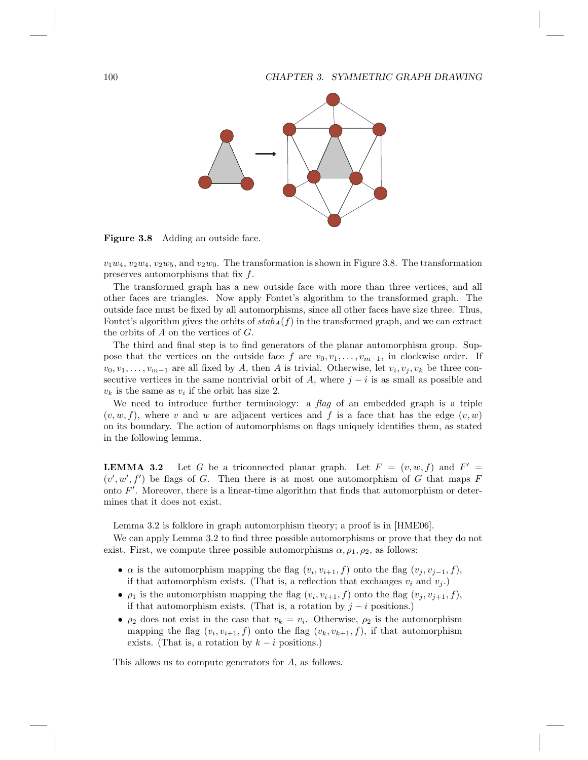#### 100 CHAPTER 3. SYMMETRIC GRAPH DRAWING



Figure 3.8 Adding an outside face.

 $v_1w_4, v_2w_4, v_2w_5$ , and  $v_2w_0$ . The transformation is shown in Figure 3.8. The transformation preserves automorphisms that fix  $f$ .

The transformed graph has a new outside face with more than three vertices, and all other faces are triangles. Now apply Fontet's algorithm to the transformed graph. The outside face must be fixed by all automorphisms, since all other faces have size three. Thus, Fontet's algorithm gives the orbits of  $stab_A(f)$  in the transformed graph, and we can extract the orbits of  $A$  on the vertices of  $G$ .

The third and final step is to find generators of the planar automorphism group. Suppose that the vertices on the outside face f are  $v_0, v_1, \ldots, v_{m-1}$ , in clockwise order. If  $v_0, v_1, \ldots, v_{m-1}$  are all fixed by A, then A is trivial. Otherwise, let  $v_i, v_j, v_k$  be three consecutive vertices in the same nontrivial orbit of A, where  $j - i$  is as small as possible and  $v_k$  is the same as  $v_i$  if the orbit has size 2.

We need to introduce further terminology: a *flag* of an embedded graph is a triple  $(v, w, f)$ , where v and w are adjacent vertices and f is a face that has the edge  $(v, w)$ on its boundary. The action of automorphisms on flags uniquely identifies them, as stated in the following lemma.

**LEMMA 3.2** Let G be a triconnected planar graph. Let  $F = (v, w, f)$  and  $F' =$  $(v', w', f')$  be flags of G. Then there is at most one automorphism of G that maps F onto  $F'$ . Moreover, there is a linear-time algorithm that finds that automorphism or determines that it does not exist.

Lemma 3.2 is folklore in graph automorphism theory; a proof is in [HME06].

We can apply Lemma 3.2 to find three possible automorphisms or prove that they do not exist. First, we compute three possible automorphisms  $\alpha$ ,  $\rho_1$ ,  $\rho_2$ , as follows:

- $\alpha$  is the automorphism mapping the flag  $(v_i, v_{i+1}, f)$  onto the flag  $(v_j, v_{j-1}, f)$ , if that automorphism exists. (That is, a reflection that exchanges  $v_i$  and  $v_j$ .)
- $\rho_1$  is the automorphism mapping the flag  $(v_i, v_{i+1}, f)$  onto the flag  $(v_j, v_{j+1}, f)$ , if that automorphism exists. (That is, a rotation by  $j - i$  positions.)
- $\rho_2$  does not exist in the case that  $v_k = v_i$ . Otherwise,  $\rho_2$  is the automorphism mapping the flag  $(v_i, v_{i+1}, f)$  onto the flag  $(v_k, v_{k+1}, f)$ , if that automorphism exists. (That is, a rotation by  $k - i$  positions.)

This allows us to compute generators for A, as follows.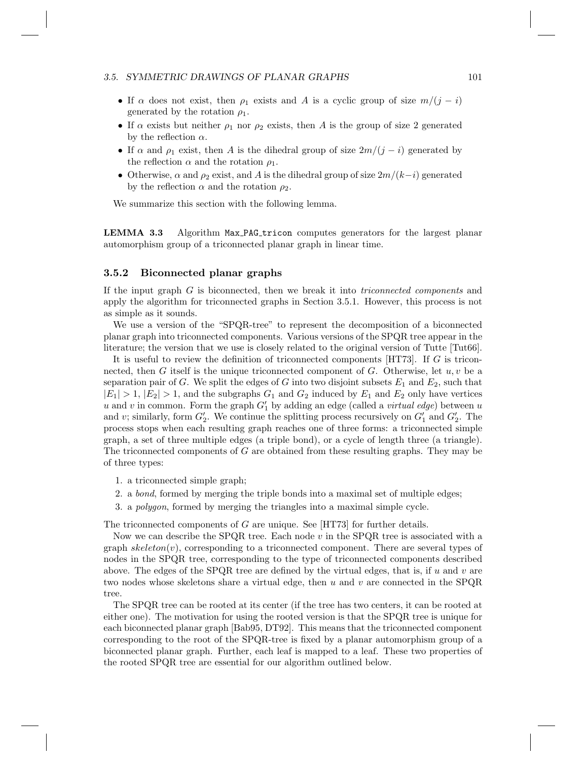#### 3.5. SYMMETRIC DRAWINGS OF PLANAR GRAPHS 101

- If  $\alpha$  does not exist, then  $\rho_1$  exists and A is a cyclic group of size  $m/(j-i)$ generated by the rotation  $\rho_1$ .
- If  $\alpha$  exists but neither  $\rho_1$  nor  $\rho_2$  exists, then A is the group of size 2 generated by the reflection  $\alpha$ .
- If  $\alpha$  and  $\rho_1$  exist, then A is the dihedral group of size  $2m/(j-i)$  generated by the reflection  $\alpha$  and the rotation  $\rho_1$ .
- Otherwise,  $\alpha$  and  $\rho_2$  exist, and A is the dihedral group of size  $2m/(k-i)$  generated by the reflection  $\alpha$  and the rotation  $\rho_2$ .

We summarize this section with the following lemma.

LEMMA 3.3 Algorithm Max\_PAG\_tricon computes generators for the largest planar automorphism group of a triconnected planar graph in linear time.

#### 3.5.2 Biconnected planar graphs

If the input graph G is biconnected, then we break it into *triconnected components* and apply the algorithm for triconnected graphs in Section 3.5.1. However, this process is not as simple as it sounds.

We use a version of the "SPQR-tree" to represent the decomposition of a biconnected planar graph into triconnected components. Various versions of the SPQR tree appear in the literature; the version that we use is closely related to the original version of Tutte [Tut66].

It is useful to review the definition of triconnected components  $[HTT3]$ . If G is triconnected, then G itself is the unique triconnected component of G. Otherwise, let  $u, v$  be a separation pair of G. We split the edges of G into two disjoint subsets  $E_1$  and  $E_2$ , such that  $|E_1| > 1$ ,  $|E_2| > 1$ , and the subgraphs  $G_1$  and  $G_2$  induced by  $E_1$  and  $E_2$  only have vertices  $u$  and  $v$  in common. Form the graph  $G'_{1}$  by adding an edge (called a *virtual edge*) between  $u$ and v; similarly, form  $G'_{2}$ . We continue the splitting process recursively on  $G'_{1}$  and  $G'_{2}$ . The process stops when each resulting graph reaches one of three forms: a triconnected simple graph, a set of three multiple edges (a triple bond), or a cycle of length three (a triangle). The triconnected components of G are obtained from these resulting graphs. They may be of three types:

- 1. a triconnected simple graph;
- 2. a *bond*, formed by merging the triple bonds into a maximal set of multiple edges;
- 3. a *polygon*, formed by merging the triangles into a maximal simple cycle.

The triconnected components of G are unique. See [HT73] for further details.

Now we can describe the SPQR tree. Each node  $v$  in the SPQR tree is associated with a graph  $skeleton(v)$ , corresponding to a triconnected component. There are several types of nodes in the SPQR tree, corresponding to the type of triconnected components described above. The edges of the SPQR tree are defined by the virtual edges, that is, if  $u$  and  $v$  are two nodes whose skeletons share a virtual edge, then u and v are connected in the SPQR tree.

The SPQR tree can be rooted at its center (if the tree has two centers, it can be rooted at either one). The motivation for using the rooted version is that the SPQR tree is unique for each biconnected planar graph [Bab95, DT92]. This means that the triconnected component corresponding to the root of the SPQR-tree is fixed by a planar automorphism group of a biconnected planar graph. Further, each leaf is mapped to a leaf. These two properties of the rooted SPQR tree are essential for our algorithm outlined below.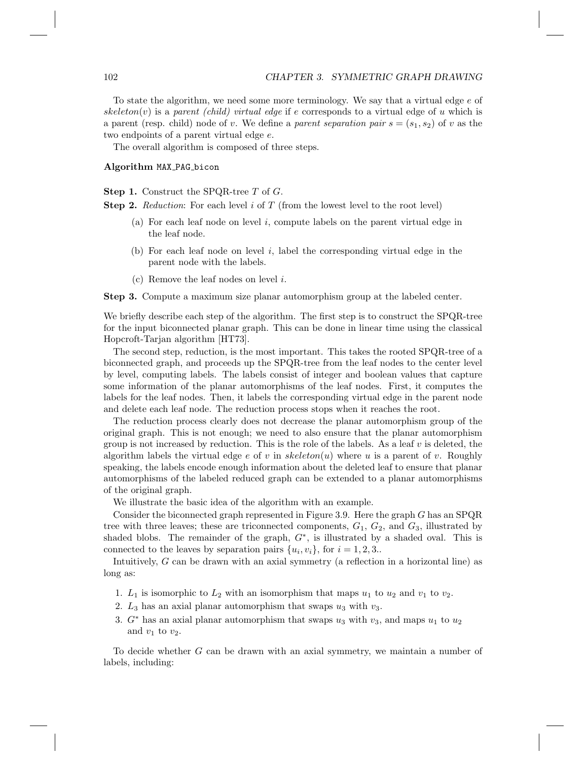To state the algorithm, we need some more terminology. We say that a virtual edge  $e$  of skeleton(v) is a *parent (child) virtual edge* if e corresponds to a virtual edge of u which is a parent (resp. child) node of v. We define a *parent separation pair*  $s = (s_1, s_2)$  of v as the two endpoints of a parent virtual edge e.

The overall algorithm is composed of three steps.

#### Algorithm MAX\_PAG\_bicon

Step 1. Construct the SPQR-tree T of G.

**Step 2.** *Reduction*: For each level i of T (from the lowest level to the root level)

- (a) For each leaf node on level  $i$ , compute labels on the parent virtual edge in the leaf node.
- (b) For each leaf node on level i, label the corresponding virtual edge in the parent node with the labels.
- (c) Remove the leaf nodes on level  $i$ .

Step 3. Compute a maximum size planar automorphism group at the labeled center.

We briefly describe each step of the algorithm. The first step is to construct the SPQR-tree for the input biconnected planar graph. This can be done in linear time using the classical Hopcroft-Tarjan algorithm [HT73].

The second step, reduction, is the most important. This takes the rooted SPQR-tree of a biconnected graph, and proceeds up the SPQR-tree from the leaf nodes to the center level by level, computing labels. The labels consist of integer and boolean values that capture some information of the planar automorphisms of the leaf nodes. First, it computes the labels for the leaf nodes. Then, it labels the corresponding virtual edge in the parent node and delete each leaf node. The reduction process stops when it reaches the root.

The reduction process clearly does not decrease the planar automorphism group of the original graph. This is not enough; we need to also ensure that the planar automorphism group is not increased by reduction. This is the role of the labels. As a leaf  $v$  is deleted, the algorithm labels the virtual edge e of v in skeleton(u) where u is a parent of v. Roughly speaking, the labels encode enough information about the deleted leaf to ensure that planar automorphisms of the labeled reduced graph can be extended to a planar automorphisms of the original graph.

We illustrate the basic idea of the algorithm with an example.

Consider the biconnected graph represented in Figure 3.9. Here the graph  $G$  has an SPQR tree with three leaves; these are triconnected components,  $G_1$ ,  $G_2$ , and  $G_3$ , illustrated by shaded blobs. The remainder of the graph,  $G^*$ , is illustrated by a shaded oval. This is connected to the leaves by separation pairs  $\{u_i, v_i\}$ , for  $i = 1, 2, 3$ .

Intuitively, G can be drawn with an axial symmetry (a reflection in a horizontal line) as long as:

- 1.  $L_1$  is isomorphic to  $L_2$  with an isomorphism that maps  $u_1$  to  $u_2$  and  $v_1$  to  $v_2$ .
- 2.  $L_3$  has an axial planar automorphism that swaps  $u_3$  with  $v_3$ .
- 3.  $G^*$  has an axial planar automorphism that swaps  $u_3$  with  $v_3$ , and maps  $u_1$  to  $u_2$ and  $v_1$  to  $v_2$ .

To decide whether G can be drawn with an axial symmetry, we maintain a number of labels, including: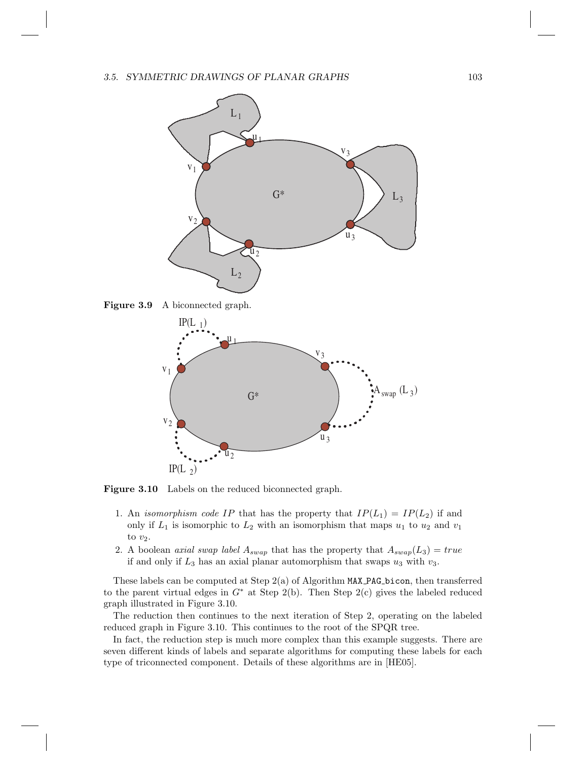#### 3.5. SYMMETRIC DRAWINGS OF PLANAR GRAPHS 103







Figure 3.10 Labels on the reduced biconnected graph.

- 1. An *isomorphism code IP* that has the property that  $IP(L_1) = IP(L_2)$  if and only if  $L_1$  is isomorphic to  $L_2$  with an isomorphism that maps  $u_1$  to  $u_2$  and  $v_1$ to  $v_2$ .
- 2. A boolean *axial swap label*  $A_{swap}$  that has the property that  $A_{swap}(L_3) = true$ if and only if  $L_3$  has an axial planar automorphism that swaps  $u_3$  with  $v_3$ .

These labels can be computed at Step 2(a) of Algorithm MAX PAG bicon, then transferred to the parent virtual edges in  $G^*$  at Step 2(b). Then Step 2(c) gives the labeled reduced graph illustrated in Figure 3.10.

The reduction then continues to the next iteration of Step 2, operating on the labeled reduced graph in Figure 3.10. This continues to the root of the SPQR tree.

In fact, the reduction step is much more complex than this example suggests. There are seven different kinds of labels and separate algorithms for computing these labels for each type of triconnected component. Details of these algorithms are in [HE05].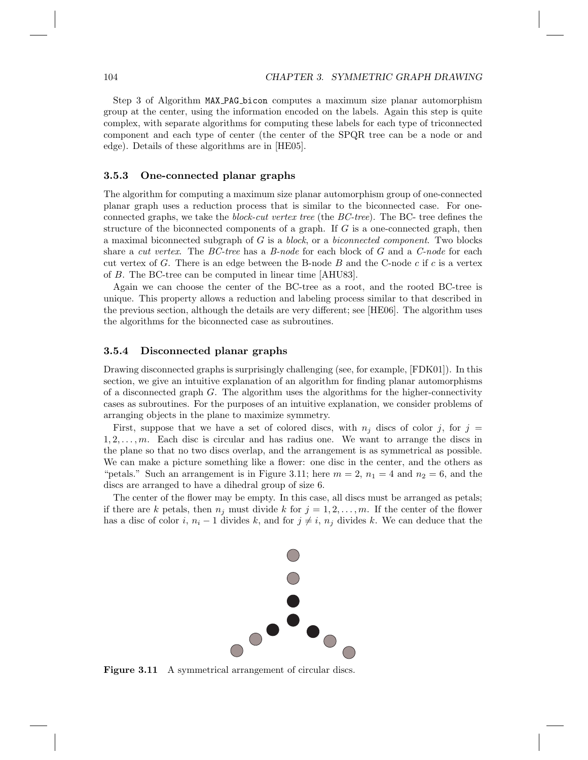Step 3 of Algorithm MAX PAG bicon computes a maximum size planar automorphism group at the center, using the information encoded on the labels. Again this step is quite complex, with separate algorithms for computing these labels for each type of triconnected component and each type of center (the center of the SPQR tree can be a node or and edge). Details of these algorithms are in [HE05].

#### 3.5.3 One-connected planar graphs

The algorithm for computing a maximum size planar automorphism group of one-connected planar graph uses a reduction process that is similar to the biconnected case. For oneconnected graphs, we take the *block-cut vertex tree* (the *BC-tree*). The BC- tree defines the structure of the biconnected components of a graph. If  $G$  is a one-connected graph, then a maximal biconnected subgraph of G is a *block*, or a *biconnected component*. Two blocks share a *cut vertex*. The *BC-tree* has a *B-node* for each block of G and a *C-node* for each cut vertex of G. There is an edge between the B-node  $B$  and the C-node  $c$  if  $c$  is a vertex of B. The BC-tree can be computed in linear time [AHU83].

Again we can choose the center of the BC-tree as a root, and the rooted BC-tree is unique. This property allows a reduction and labeling process similar to that described in the previous section, although the details are very different; see [HE06]. The algorithm uses the algorithms for the biconnected case as subroutines.

#### 3.5.4 Disconnected planar graphs

Drawing disconnected graphs is surprisingly challenging (see, for example, [FDK01]). In this section, we give an intuitive explanation of an algorithm for finding planar automorphisms of a disconnected graph  $G$ . The algorithm uses the algorithms for the higher-connectivity cases as subroutines. For the purposes of an intuitive explanation, we consider problems of arranging objects in the plane to maximize symmetry.

First, suppose that we have a set of colored discs, with  $n_j$  discs of color j, for j =  $1, 2, \ldots, m$ . Each disc is circular and has radius one. We want to arrange the discs in the plane so that no two discs overlap, and the arrangement is as symmetrical as possible. We can make a picture something like a flower: one disc in the center, and the others as "petals." Such an arrangement is in Figure 3.11; here  $m = 2$ ,  $n_1 = 4$  and  $n_2 = 6$ , and the discs are arranged to have a dihedral group of size 6.

The center of the flower may be empty. In this case, all discs must be arranged as petals; if there are k petals, then  $n_j$  must divide k for  $j = 1, 2, \ldots, m$ . If the center of the flower has a disc of color i,  $n_i - 1$  divides k, and for  $j \neq i$ ,  $n_j$  divides k. We can deduce that the



Figure 3.11 A symmetrical arrangement of circular discs.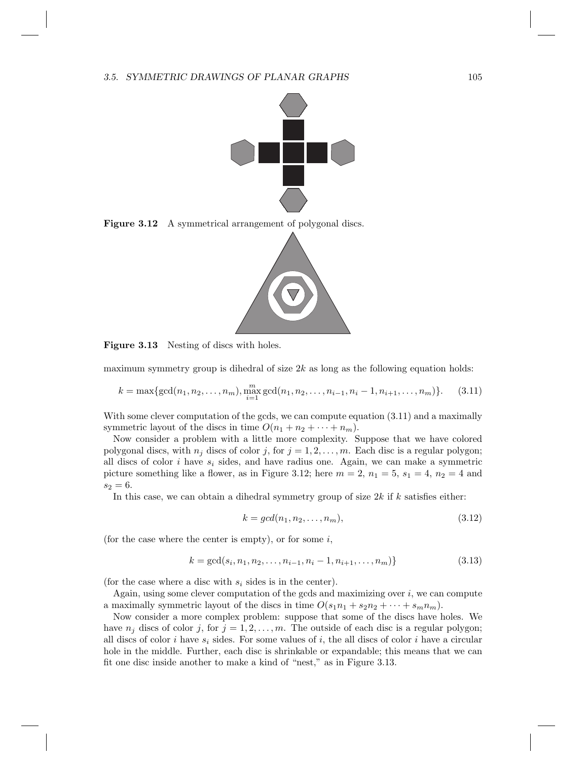

Figure 3.12 A symmetrical arrangement of polygonal discs.



Figure 3.13 Nesting of discs with holes.

maximum symmetry group is dihedral of size  $2k$  as long as the following equation holds:

$$
k = \max\{\gcd(n_1, n_2, \dots, n_m), \max_{i=1}^m \gcd(n_1, n_2, \dots, n_{i-1}, n_i - 1, n_{i+1}, \dots, n_m)\}.
$$
 (3.11)

With some clever computation of the gcds, we can compute equation  $(3.11)$  and a maximally symmetric layout of the discs in time  $O(n_1 + n_2 + \cdots + n_m)$ .

Now consider a problem with a little more complexity. Suppose that we have colored polygonal discs, with  $n_j$  discs of color j, for  $j = 1, 2, \ldots, m$ . Each disc is a regular polygon; all discs of color  $i$  have  $s_i$  sides, and have radius one. Again, we can make a symmetric picture something like a flower, as in Figure 3.12; here  $m = 2$ ,  $n_1 = 5$ ,  $s_1 = 4$ ,  $n_2 = 4$  and  $s_2 = 6.$ 

In this case, we can obtain a dihedral symmetry group of size  $2k$  if  $k$  satisfies either:

$$
k = gcd(n_1, n_2, \dots, n_m),\tag{3.12}
$$

(for the case where the center is empty), or for some  $i$ ,

$$
k = \gcd(s_i, n_1, n_2, \dots, n_{i-1}, n_i - 1, n_{i+1}, \dots, n_m)
$$
\n
$$
(3.13)
$$

(for the case where a disc with  $s_i$  sides is in the center).

Again, using some clever computation of the gcds and maximizing over  $i$ , we can compute a maximally symmetric layout of the discs in time  $O(s_1n_1 + s_2n_2 + \cdots + s_m n_m)$ .

Now consider a more complex problem: suppose that some of the discs have holes. We have  $n_j$  discs of color j, for  $j = 1, 2, ..., m$ . The outside of each disc is a regular polygon; all discs of color i have  $s_i$  sides. For some values of i, the all discs of color i have a circular hole in the middle. Further, each disc is shrinkable or expandable; this means that we can fit one disc inside another to make a kind of "nest," as in Figure 3.13.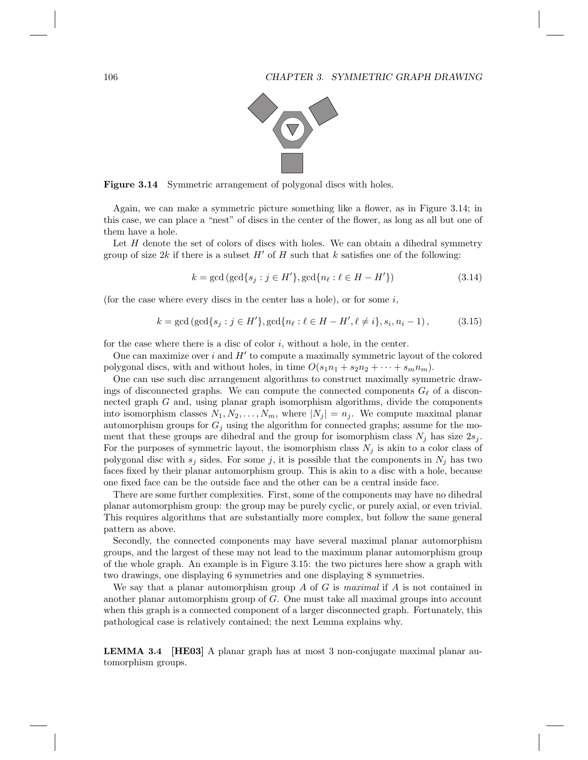

Figure 3.14 Symmetric arrangement of polygonal discs with holes.

Again, we can make a symmetric picture something like a flower, as in Figure 3.14; in this case, we can place a "nest" of discs in the center of the flower, as long as all but one of them have a hole.

Let  $H$  denote the set of colors of discs with holes. We can obtain a dihedral symmetry group of size 2k if there is a subset  $H'$  of H such that k satisfies one of the following:

$$
k = \gcd(\gcd\{s_j : j \in H'\}, \gcd\{n_\ell : \ell \in H - H'\})
$$
\n
$$
(3.14)
$$

(for the case where every discs in the center has a hole), or for some  $i$ ,

$$
k = \gcd(\gcd\{s_j : j \in H'\}, \gcd\{n_\ell : \ell \in H - H', \ell \neq i\}, s_i, n_i - 1),
$$
 (3.15)

for the case where there is a disc of color  $i$ , without a hole, in the center.

One can maximize over  $i$  and  $H'$  to compute a maximally symmetric layout of the colored polygonal discs, with and without holes, in time  $O(s_1n_1 + s_2n_2 + \cdots + s_mn_m)$ .

One can use such disc arrangement algorithms to construct maximally symmetric drawings of disconnected graphs. We can compute the connected components  $G_{\ell}$  of a disconnected graph G and, using planar graph isomorphism algorithms, divide the components into isomorphism classes  $N_1, N_2, \ldots, N_m$ , where  $|N_j| = n_j$ . We compute maximal planar automorphism groups for  $G_j$  using the algorithm for connected graphs; assume for the moment that these groups are dihedral and the group for isomorphism class  $N_j$  has size  $2s_j$ . For the purposes of symmetric layout, the isomorphism class  $N_j$  is akin to a color class of polygonal disc with  $s_j$  sides. For some j, it is possible that the components in  $N_j$  has two faces fixed by their planar automorphism group. This is akin to a disc with a hole, because one fixed face can be the outside face and the other can be a central inside face.

There are some further complexities. First, some of the components may have no dihedral planar automorphism group: the group may be purely cyclic, or purely axial, or even trivial. This requires algorithms that are substantially more complex, but follow the same general pattern as above.

Secondly, the connected components may have several maximal planar automorphism groups, and the largest of these may not lead to the maximum planar automorphism group of the whole graph. An example is in Figure 3.15: the two pictures here show a graph with two drawings, one displaying 6 symmetries and one displaying 8 symmetries.

We say that a planar automorphism group A of G is *maximal* if A is not contained in another planar automorphism group of G. One must take all maximal groups into account when this graph is a connected component of a larger disconnected graph. Fortunately, this pathological case is relatively contained; the next Lemma explains why.

LEMMA 3.4 [HE03] A planar graph has at most 3 non-conjugate maximal planar automorphism groups.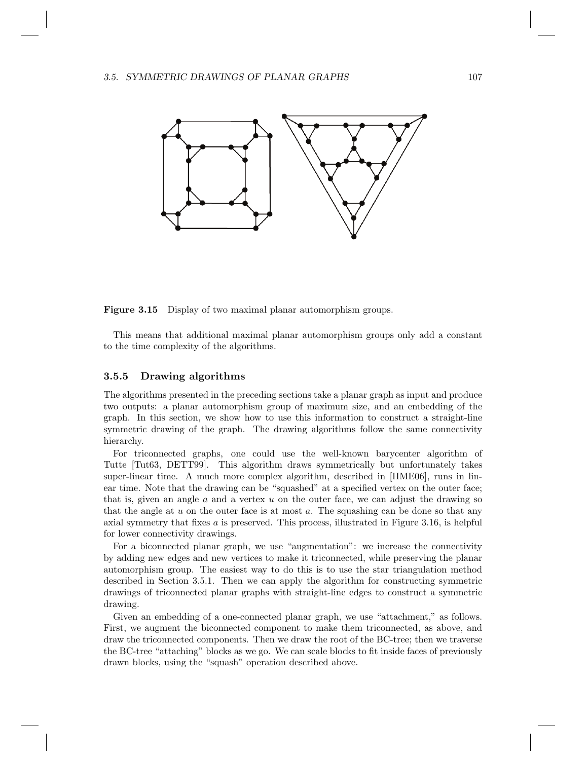

Figure 3.15 Display of two maximal planar automorphism groups.

This means that additional maximal planar automorphism groups only add a constant to the time complexity of the algorithms.

#### 3.5.5 Drawing algorithms

The algorithms presented in the preceding sections take a planar graph as input and produce two outputs: a planar automorphism group of maximum size, and an embedding of the graph. In this section, we show how to use this information to construct a straight-line symmetric drawing of the graph. The drawing algorithms follow the same connectivity hierarchy.

For triconnected graphs, one could use the well-known barycenter algorithm of Tutte [Tut63, DETT99]. This algorithm draws symmetrically but unfortunately takes super-linear time. A much more complex algorithm, described in [HME06], runs in linear time. Note that the drawing can be "squashed" at a specified vertex on the outer face; that is, given an angle  $a$  and a vertex  $u$  on the outer face, we can adjust the drawing so that the angle at  $u$  on the outer face is at most  $a$ . The squashing can be done so that any axial symmetry that fixes  $a$  is preserved. This process, illustrated in Figure 3.16, is helpful for lower connectivity drawings.

For a biconnected planar graph, we use "augmentation": we increase the connectivity by adding new edges and new vertices to make it triconnected, while preserving the planar automorphism group. The easiest way to do this is to use the star triangulation method described in Section 3.5.1. Then we can apply the algorithm for constructing symmetric drawings of triconnected planar graphs with straight-line edges to construct a symmetric drawing.

Given an embedding of a one-connected planar graph, we use "attachment," as follows. First, we augment the biconnected component to make them triconnected, as above, and draw the triconnected components. Then we draw the root of the BC-tree; then we traverse the BC-tree "attaching" blocks as we go. We can scale blocks to fit inside faces of previously drawn blocks, using the "squash" operation described above.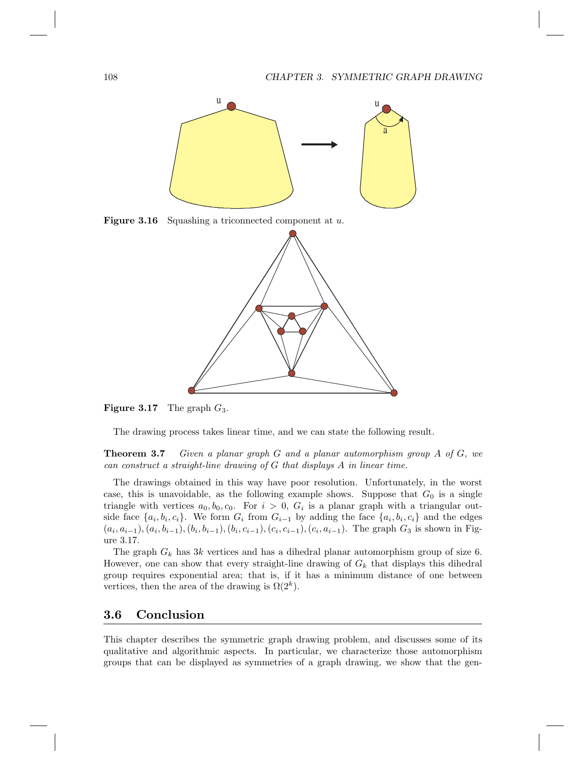

Figure 3.16 Squashing a triconnected component at u.



**Figure 3.17** The graph  $G_3$ .

The drawing process takes linear time, and we can state the following result.

Theorem 3.7 *Given a planar graph* G *and a planar automorphism group* A *of* G*, we can construct a straight-line drawing of* G *that displays* A *in linear time.*

The drawings obtained in this way have poor resolution. Unfortunately, in the worst case, this is unavoidable, as the following example shows. Suppose that  $G_0$  is a single triangle with vertices  $a_0, b_0, c_0$ . For  $i > 0$ ,  $G_i$  is a planar graph with a triangular outside face  $\{a_i, b_i, c_i\}$ . We form  $G_i$  from  $G_{i-1}$  by adding the face  $\{a_i, b_i, c_i\}$  and the edges  $(a_i, a_{i-1}), (a_i, b_{i-1}), (b_i, b_{i-1}), (b_i, c_{i-1}), (c_i, c_{i-1}), (c_i, a_{i-1}).$  The graph  $G_3$  is shown in Figure 3.17.

The graph  $G_k$  has 3k vertices and has a dihedral planar automorphism group of size 6. However, one can show that every straight-line drawing of  $G_k$  that displays this dihedral group requires exponential area; that is, if it has a minimum distance of one between vertices, then the area of the drawing is  $\Omega(2^k)$ .

## 3.6 Conclusion

This chapter describes the symmetric graph drawing problem, and discusses some of its qualitative and algorithmic aspects. In particular, we characterize those automorphism groups that can be displayed as symmetries of a graph drawing, we show that the gen-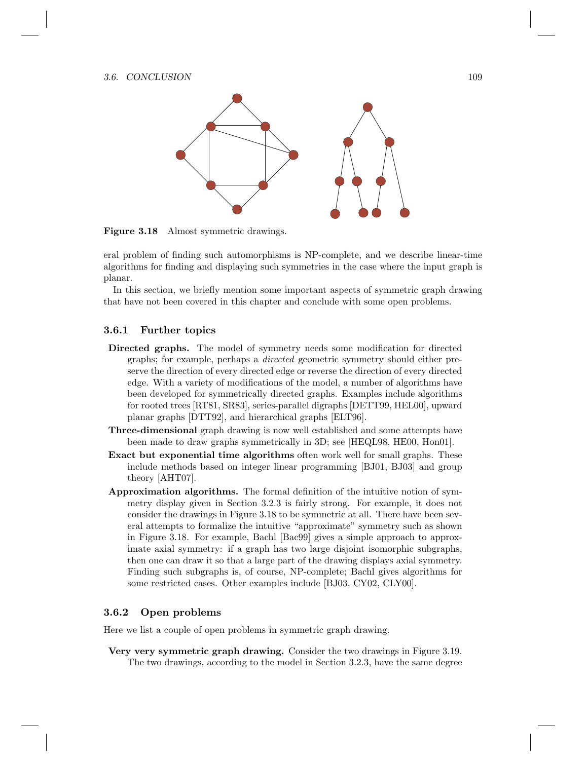

Figure 3.18 Almost symmetric drawings.

eral problem of finding such automorphisms is NP-complete, and we describe linear-time algorithms for finding and displaying such symmetries in the case where the input graph is planar.

In this section, we briefly mention some important aspects of symmetric graph drawing that have not been covered in this chapter and conclude with some open problems.

#### 3.6.1 Further topics

- Directed graphs. The model of symmetry needs some modification for directed graphs; for example, perhaps a *directed* geometric symmetry should either preserve the direction of every directed edge or reverse the direction of every directed edge. With a variety of modifications of the model, a number of algorithms have been developed for symmetrically directed graphs. Examples include algorithms for rooted trees [RT81, SR83], series-parallel digraphs [DETT99, HEL00], upward planar graphs [DTT92], and hierarchical graphs [ELT96].
- Three-dimensional graph drawing is now well established and some attempts have been made to draw graphs symmetrically in 3D; see [HEQL98, HE00, Hon01].
- Exact but exponential time algorithms often work well for small graphs. These include methods based on integer linear programming [BJ01, BJ03] and group theory [AHT07].
- Approximation algorithms. The formal definition of the intuitive notion of symmetry display given in Section 3.2.3 is fairly strong. For example, it does not consider the drawings in Figure 3.18 to be symmetric at all. There have been several attempts to formalize the intuitive "approximate" symmetry such as shown in Figure 3.18. For example, Bachl [Bac99] gives a simple approach to approximate axial symmetry: if a graph has two large disjoint isomorphic subgraphs, then one can draw it so that a large part of the drawing displays axial symmetry. Finding such subgraphs is, of course, NP-complete; Bachl gives algorithms for some restricted cases. Other examples include [BJ03, CY02, CLY00].

#### 3.6.2 Open problems

Here we list a couple of open problems in symmetric graph drawing.

Very very symmetric graph drawing. Consider the two drawings in Figure 3.19. The two drawings, according to the model in Section 3.2.3, have the same degree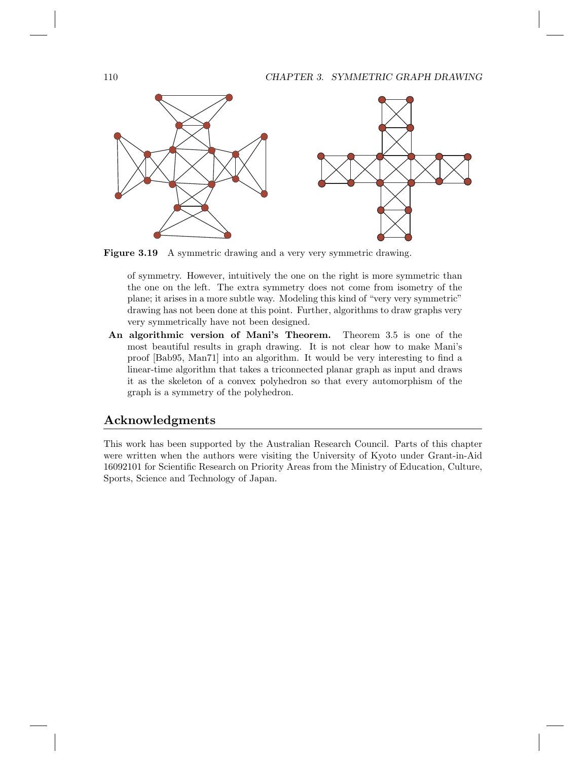

Figure 3.19 A symmetric drawing and a very very symmetric drawing.

of symmetry. However, intuitively the one on the right is more symmetric than the one on the left. The extra symmetry does not come from isometry of the plane; it arises in a more subtle way. Modeling this kind of "very very symmetric" drawing has not been done at this point. Further, algorithms to draw graphs very very symmetrically have not been designed.

An algorithmic version of Mani's Theorem. Theorem 3.5 is one of the most beautiful results in graph drawing. It is not clear how to make Mani's proof [Bab95, Man71] into an algorithm. It would be very interesting to find a linear-time algorithm that takes a triconnected planar graph as input and draws it as the skeleton of a convex polyhedron so that every automorphism of the graph is a symmetry of the polyhedron.

#### Acknowledgments

This work has been supported by the Australian Research Council. Parts of this chapter were written when the authors were visiting the University of Kyoto under Grant-in-Aid 16092101 for Scientific Research on Priority Areas from the Ministry of Education, Culture, Sports, Science and Technology of Japan.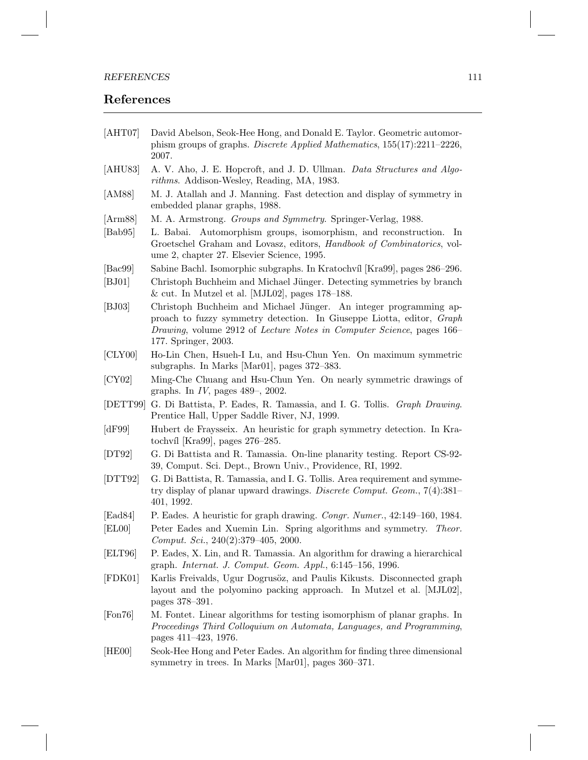#### REFERENCES 111

### References

- [AHT07] David Abelson, Seok-Hee Hong, and Donald E. Taylor. Geometric automorphism groups of graphs. *Discrete Applied Mathematics*, 155(17):2211–2226, 2007.
- [AHU83] A. V. Aho, J. E. Hopcroft, and J. D. Ullman. *Data Structures and Algorithms*. Addison-Wesley, Reading, MA, 1983.
- [AM88] M. J. Atallah and J. Manning. Fast detection and display of symmetry in embedded planar graphs, 1988.
- [Arm88] M. A. Armstrong. *Groups and Symmetry*. Springer-Verlag, 1988.
- [Bab95] L. Babai. Automorphism groups, isomorphism, and reconstruction. In Groetschel Graham and Lovasz, editors, *Handbook of Combinatorics*, volume 2, chapter 27. Elsevier Science, 1995.
- [Bac99] Sabine Bachl. Isomorphic subgraphs. In Kratochvíl [Kra99], pages 286–296.
- [BJ01] Christoph Buchheim and Michael Jünger. Detecting symmetries by branch & cut. In Mutzel et al. [MJL02], pages 178–188.
- [BJ03] Christoph Buchheim and Michael Jünger. An integer programming approach to fuzzy symmetry detection. In Giuseppe Liotta, editor, *Graph Drawing*, volume 2912 of *Lecture Notes in Computer Science*, pages 166– 177. Springer, 2003.
- [CLY00] Ho-Lin Chen, Hsueh-I Lu, and Hsu-Chun Yen. On maximum symmetric subgraphs. In Marks [Mar01], pages 372–383.
- [CY02] Ming-Che Chuang and Hsu-Chun Yen. On nearly symmetric drawings of graphs. In *IV*, pages 489–, 2002.
- [DETT99] G. Di Battista, P. Eades, R. Tamassia, and I. G. Tollis. *Graph Drawing*. Prentice Hall, Upper Saddle River, NJ, 1999.
- [dF99] Hubert de Fraysseix. An heuristic for graph symmetry detection. In Kratochvíl [Kra99], pages  $276-285$ .
- [DT92] G. Di Battista and R. Tamassia. On-line planarity testing. Report CS-92- 39, Comput. Sci. Dept., Brown Univ., Providence, RI, 1992.
- [DTT92] G. Di Battista, R. Tamassia, and I. G. Tollis. Area requirement and symmetry display of planar upward drawings. *Discrete Comput. Geom.*, 7(4):381– 401, 1992.
- [Ead84] P. Eades. A heuristic for graph drawing. *Congr. Numer.*, 42:149–160, 1984.
- [EL00] Peter Eades and Xuemin Lin. Spring algorithms and symmetry. *Theor. Comput. Sci.*, 240(2):379–405, 2000.
- [ELT96] P. Eades, X. Lin, and R. Tamassia. An algorithm for drawing a hierarchical graph. *Internat. J. Comput. Geom. Appl.*, 6:145–156, 1996.
- [FDK01] Karlis Freivalds, Ugur Dogrusöz, and Paulis Kikusts. Disconnected graph layout and the polyomino packing approach. In Mutzel et al. [MJL02], pages 378–391.
- [Fon76] M. Fontet. Linear algorithms for testing isomorphism of planar graphs. In *Proceedings Third Colloquium on Automata, Languages, and Programming*, pages 411–423, 1976.
- [HE00] Seok-Hee Hong and Peter Eades. An algorithm for finding three dimensional symmetry in trees. In Marks [Mar01], pages 360–371.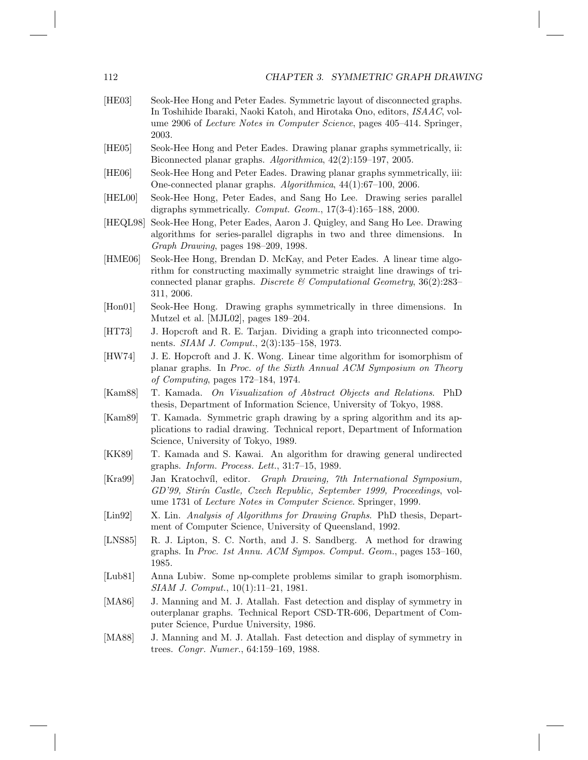| [HE03]                      | Seok-Hee Hong and Peter Eades. Symmetric layout of disconnected graphs.<br>In Toshihide Ibaraki, Naoki Katoh, and Hirotaka Ono, editors, ISAAC, vol-<br>ume 2906 of <i>Lecture Notes in Computer Science</i> , pages 405–414. Springer,<br>2003. |
|-----------------------------|--------------------------------------------------------------------------------------------------------------------------------------------------------------------------------------------------------------------------------------------------|
| [HE05]                      | Seok-Hee Hong and Peter Eades. Drawing planar graphs symmetrically, ii:<br>Biconnected planar graphs. $Algorithmica$ , $42(2):159-197$ , $2005$ .                                                                                                |
| [HE06]                      | Seok-Hee Hong and Peter Eades. Drawing planar graphs symmetrically, iii:<br>One-connected planar graphs. Algorithmica, 44(1):67-100, 2006.                                                                                                       |
| [HELO0]                     | Seok-Hee Hong, Peter Eades, and Sang Ho Lee. Drawing series parallel<br>digraphs symmetrically. Comput. Geom., $17(3-4):165-188$ , 2000.                                                                                                         |
| [HEQL98]                    | Seok-Hee Hong, Peter Eades, Aaron J. Quigley, and Sang Ho Lee. Drawing<br>algorithms for series-parallel digraphs in two and three dimensions.<br>- In<br>Graph Drawing, pages 198-209, 1998.                                                    |
| [HME06]                     | Seok-Hee Hong, Brendan D. McKay, and Peter Eades. A linear time algo-<br>rithm for constructing maximally symmetric straight line drawings of tri-<br>connected planar graphs. Discrete & Computational Geometry, $36(2):283-$<br>311, 2006.     |
| $[$ Hon $01]$               | Seok-Hee Hong. Drawing graphs symmetrically in three dimensions. In<br>Mutzel et al. [MJL02], pages 189–204.                                                                                                                                     |
| [HT73]                      | J. Hopcroft and R. E. Tarjan. Dividing a graph into triconnected compo-<br>nents. <i>SIAM J. Comput.</i> , 2(3):135–158, 1973.                                                                                                                   |
| [HW74]                      | J. E. Hopcroft and J. K. Wong. Linear time algorithm for isomorphism of<br>planar graphs. In Proc. of the Sixth Annual ACM Symposium on Theory<br>of Computing, pages $172-184$ , 1974.                                                          |
| [Kam88]                     | T. Kamada. On Visualization of Abstract Objects and Relations. PhD<br>thesis, Department of Information Science, University of Tokyo, 1988.                                                                                                      |
| [Kam89]                     | T. Kamada. Symmetric graph drawing by a spring algorithm and its ap-<br>plications to radial drawing. Technical report, Department of Information<br>Science, University of Tokyo, 1989.                                                         |
| [KK89]                      | T. Kamada and S. Kawai. An algorithm for drawing general undirected<br>graphs. <i>Inform. Process. Lett.</i> , 31:7-15, 1989.                                                                                                                    |
| [Kra99]                     | Jan Kratochvíl, editor. Graph Drawing, 7th International Symposium,<br>GD'99, Stirín Castle, Czech Republic, September 1999, Proceedings, vol-<br>ume 1731 of Lecture Notes in Computer Science. Springer, 1999.                                 |
| $\left[\text{Lin}92\right]$ | X. Lin. Analysis of Algorithms for Drawing Graphs. PhD thesis, Depart-<br>ment of Computer Science, University of Queensland, 1992.                                                                                                              |
| [LNS85]                     | R. J. Lipton, S. C. North, and J. S. Sandberg. A method for drawing<br>graphs. In Proc. 1st Annu. ACM Sympos. Comput. Geom., pages 153-160,<br>1985.                                                                                             |
| [Lub81]                     | Anna Lubiw. Some np-complete problems similar to graph isomorphism.<br>SIAM J. Comput., 10(1):11-21, 1981.                                                                                                                                       |
| [ $MA86$ ]                  | J. Manning and M. J. Atallah. Fast detection and display of symmetry in<br>outerplanar graphs. Technical Report CSD-TR-606, Department of Com-<br>puter Science, Purdue University, 1986.                                                        |
| [MA88]                      | J. Manning and M. J. Atallah. Fast detection and display of symmetry in<br>trees. Congr. Numer., 64:159-169, 1988.                                                                                                                               |
|                             |                                                                                                                                                                                                                                                  |
|                             |                                                                                                                                                                                                                                                  |

112 CHAPTER 3. SYMMETRIC GRAPH DRAWING